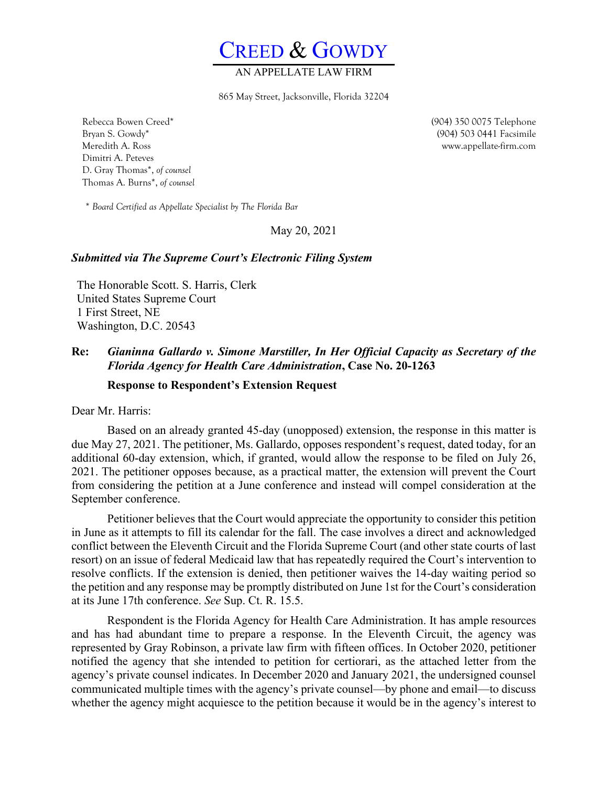CREED & GOWDY

## AN APPELLATE L

865 May Street, Jacksonville, Florida 32204

Rebecca Bowen Creed\* Bryan S. Gowdy\* Meredith A. Ross Dimitri A. Peteves D. Gray Thomas\*, *of counsel* Thomas A. Burns\*, *of counsel*

*\* Board Certified as Appellate Specialist by The Florida Bar*

May 20, 2021

### *Submitted via The Supreme Court's Electronic Filing System*

The Honorable Scott. S. Harris, Clerk United States Supreme Court 1 First Street, NE Washington, D.C. 20543

### **Re:** *Gianinna Gallardo v. Simone Marstiller, In Her Official Capacity as Secretary of the Florida Agency for Health Care Administration***, Case No. 20-1263**

### **Response to Respondent's Extension Request**

Dear Mr. Harris:

Based on an already granted 45-day (unopposed) extension, the response in this matter is due May 27, 2021. The petitioner, Ms. Gallardo, opposes respondent's request, dated today, for an additional 60-day extension, which, if granted, would allow the response to be filed on July 26, 2021. The petitioner opposes because, as a practical matter, the extension will prevent the Court from considering the petition at a June conference and instead will compel consideration at the September conference.

Petitioner believes that the Court would appreciate the opportunity to consider this petition in June as it attempts to fill its calendar for the fall. The case involves a direct and acknowledged conflict between the Eleventh Circuit and the Florida Supreme Court (and other state courts of last resort) on an issue of federal Medicaid law that has repeatedly required the Court's intervention to resolve conflicts. If the extension is denied, then petitioner waives the 14-day waiting period so the petition and any response may be promptly distributed on June 1st for the Court's consideration at its June 17th conference. *See* Sup. Ct. R. 15.5.

Respondent is the Florida Agency for Health Care Administration. It has ample resources and has had abundant time to prepare a response. In the Eleventh Circuit, the agency was represented by Gray Robinson, a private law firm with fifteen offices. In October 2020, petitioner notified the agency that she intended to petition for certiorari, as the attached letter from the agency's private counsel indicates. In December 2020 and January 2021, the undersigned counsel communicated multiple times with the agency's private counsel—by phone and email—to discuss whether the agency might acquiesce to the petition because it would be in the agency's interest to

(904) 350 0075 Telephone (904) 503 0441 Facsimile www.appellate-firm.com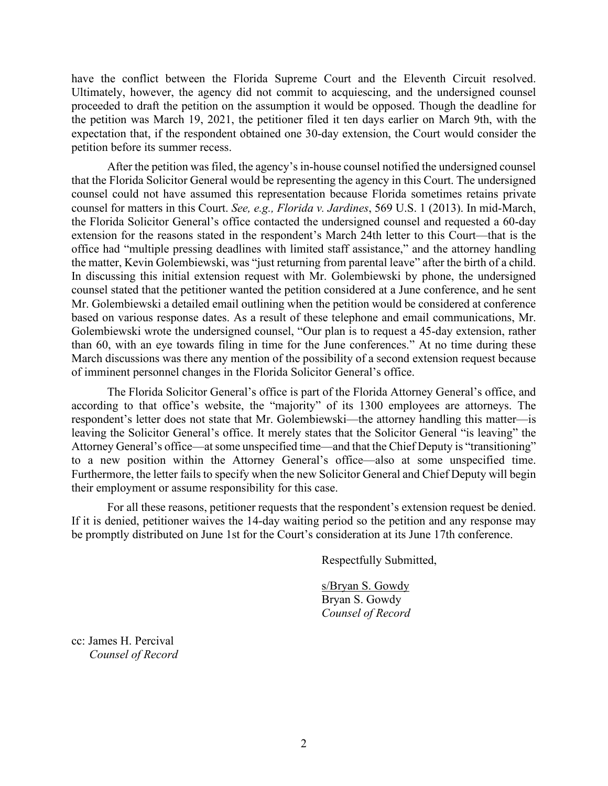have the conflict between the Florida Supreme Court and the Eleventh Circuit resolved. Ultimately, however, the agency did not commit to acquiescing, and the undersigned counsel proceeded to draft the petition on the assumption it would be opposed. Though the deadline for the petition was March 19, 2021, the petitioner filed it ten days earlier on March 9th, with the expectation that, if the respondent obtained one 30-day extension, the Court would consider the petition before its summer recess.

After the petition was filed, the agency's in-house counsel notified the undersigned counsel that the Florida Solicitor General would be representing the agency in this Court. The undersigned counsel could not have assumed this representation because Florida sometimes retains private counsel for matters in this Court. *See, e.g., Florida v. Jardines*, 569 U.S. 1 (2013). In mid-March, the Florida Solicitor General's office contacted the undersigned counsel and requested a 60-day extension for the reasons stated in the respondent's March 24th letter to this Court—that is the office had "multiple pressing deadlines with limited staff assistance," and the attorney handling the matter, Kevin Golembiewski, was "just returning from parental leave" after the birth of a child. In discussing this initial extension request with Mr. Golembiewski by phone, the undersigned counsel stated that the petitioner wanted the petition considered at a June conference, and he sent Mr. Golembiewski a detailed email outlining when the petition would be considered at conference based on various response dates. As a result of these telephone and email communications, Mr. Golembiewski wrote the undersigned counsel, "Our plan is to request a 45-day extension, rather than 60, with an eye towards filing in time for the June conferences." At no time during these March discussions was there any mention of the possibility of a second extension request because of imminent personnel changes in the Florida Solicitor General's office.

The Florida Solicitor General's office is part of the Florida Attorney General's office, and according to that office's website, the "majority" of its 1300 employees are attorneys. The respondent's letter does not state that Mr. Golembiewski—the attorney handling this matter—is leaving the Solicitor General's office. It merely states that the Solicitor General "is leaving" the Attorney General's office—at some unspecified time—and that the Chief Deputy is "transitioning" to a new position within the Attorney General's office—also at some unspecified time. Furthermore, the letter fails to specify when the new Solicitor General and Chief Deputy will begin their employment or assume responsibility for this case.

For all these reasons, petitioner requests that the respondent's extension request be denied. If it is denied, petitioner waives the 14-day waiting period so the petition and any response may be promptly distributed on June 1st for the Court's consideration at its June 17th conference.

Respectfully Submitted,

s/Bryan S. Gowdy Bryan S. Gowdy *Counsel of Record* 

cc: James H. Percival *Counsel of Record*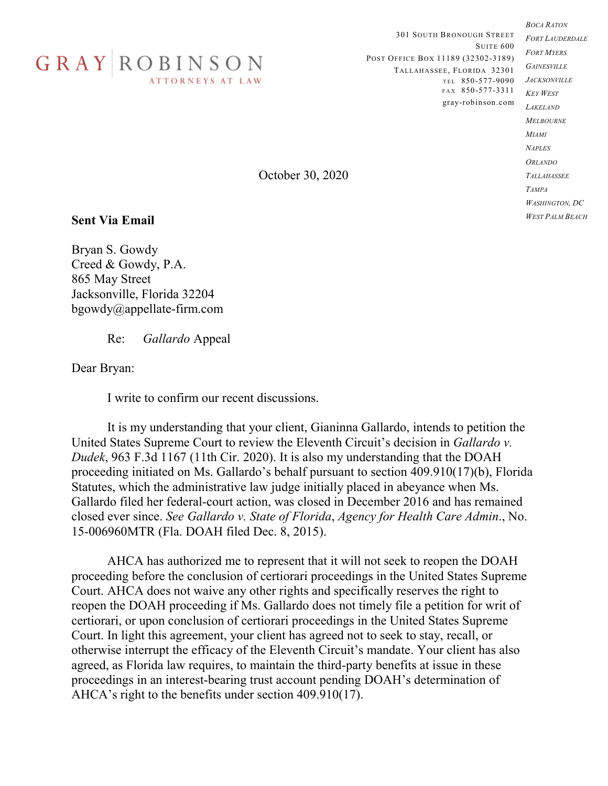

301 SOUTH BRONOUGH STREET SUITE 600 POST OFFICE BOX 11189 (32302-3189) TALLAHASSEE, FLORIDA 32301 T E L 850-577-9090 *JACKSONVILLE* FAX 850-577-3311 gray-robinson.com

*BOCA RATON FORT LAUDERDALE FORT MYERS GAINESVILLE KEY WEST LAKELAND MELBOURNE MIAMI NAPLES ORLANDO TALLAHASSEE TAMPA WASHINGTON, DC WEST PALM BEACH*

October 30, 2020

# **Sent Via Email**

Bryan S. Gowdy Creed & Gowdy, P.A. 865 May Street Jacksonville, Florida 32204 bgowdy@appellate-firm.com

Re: *Gallardo* Appeal

Dear Bryan:

I write to confirm our recent discussions.

It is my understanding that your client, Gianinna Gallardo, intends to petition the United States Supreme Court to review the Eleventh Circuit's decision in *Gallardo v. Dudek*, 963 F.3d 1167 (11th Cir. 2020). It is also my understanding that the DOAH proceeding initiated on Ms. Gallardo's behalf pursuant to section 409.910(17)(b), Florida Statutes, which the administrative law judge initially placed in abeyance when Ms. Gallardo filed her federal-court action, was closed in December 2016 and has remained closed ever since. *See Gallardo v. State of Florida*, *Agency for Health Care Admin*., No. 15-006960MTR (Fla. DOAH filed Dec. 8, 2015).

AHCA has authorized me to represent that it will not seek to reopen the DOAH proceeding before the conclusion of certiorari proceedings in the United States Supreme Court. AHCA does not waive any other rights and specifically reserves the right to reopen the DOAH proceeding if Ms. Gallardo does not timely file a petition for writ of certiorari, or upon conclusion of certiorari proceedings in the United States Supreme Court. In light this agreement, your client has agreed not to seek to stay, recall, or otherwise interrupt the efficacy of the Eleventh Circuit's mandate. Your client has also agreed, as Florida law requires, to maintain the third-party benefits at issue in these proceedings in an interest-bearing trust account pending DOAH's determination of AHCA's right to the benefits under section 409.910(17).